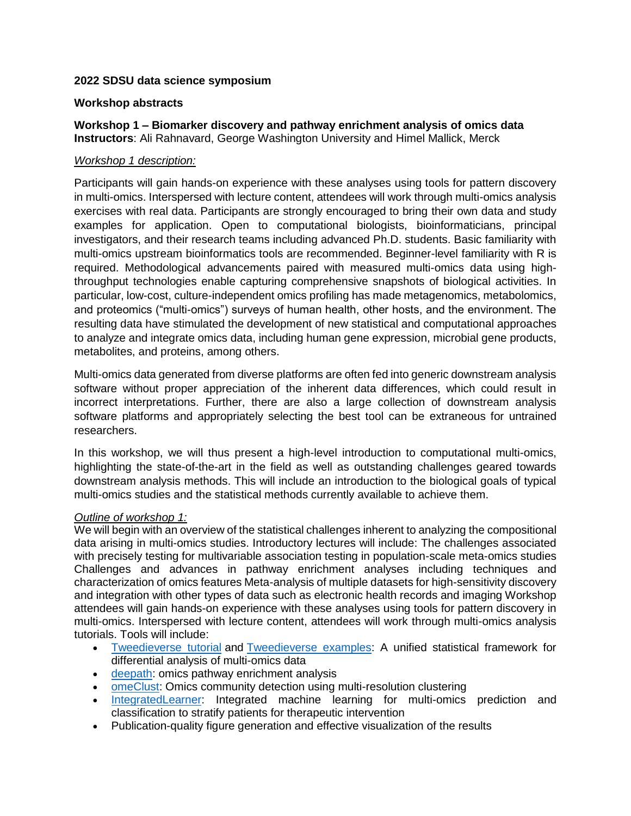# **2022 SDSU data science symposium**

# **Workshop abstracts**

**Workshop 1 – Biomarker discovery and pathway enrichment analysis of omics data Instructors**: Ali Rahnavard, George Washington University and Himel Mallick, Merck

## *Workshop 1 description:*

Participants will gain hands-on experience with these analyses using tools for pattern discovery in multi-omics. Interspersed with lecture content, attendees will work through multi-omics analysis exercises with real data. Participants are strongly encouraged to bring their own data and study examples for application. Open to computational biologists, bioinformaticians, principal investigators, and their research teams including advanced Ph.D. students. Basic familiarity with multi-omics upstream bioinformatics tools are recommended. Beginner-level familiarity with R is required. Methodological advancements paired with measured multi-omics data using highthroughput technologies enable capturing comprehensive snapshots of biological activities. In particular, low-cost, culture-independent omics profiling has made metagenomics, metabolomics, and proteomics ("multi-omics") surveys of human health, other hosts, and the environment. The resulting data have stimulated the development of new statistical and computational approaches to analyze and integrate omics data, including human gene expression, microbial gene products, metabolites, and proteins, among others.

Multi-omics data generated from diverse platforms are often fed into generic downstream analysis software without proper appreciation of the inherent data differences, which could result in incorrect interpretations. Further, there are also a large collection of downstream analysis software platforms and appropriately selecting the best tool can be extraneous for untrained researchers.

In this workshop, we will thus present a high-level introduction to computational multi-omics, highlighting the state-of-the-art in the field as well as outstanding challenges geared towards downstream analysis methods. This will include an introduction to the biological goals of typical multi-omics studies and the statistical methods currently available to achieve them.

## *Outline of workshop 1:*

We will begin with an overview of the statistical challenges inherent to analyzing the compositional data arising in multi-omics studies. Introductory lectures will include: The challenges associated with precisely testing for multivariable association testing in population-scale meta-omics studies Challenges and advances in pathway enrichment analyses including techniques and characterization of omics features Meta-analysis of multiple datasets for high-sensitivity discovery and integration with other types of data such as electronic health records and imaging Workshop attendees will gain hands-on experience with these analyses using tools for pattern discovery in multi-omics. Interspersed with lecture content, attendees will work through multi-omics analysis tutorials. Tools will include:

- [Tweedieverse tutorial](https://github.com/himelmallick/Tweedieverse) and [Tweedieverse examples:](https://github.com/himelmallick/Tweedieverse#tutorials) A unified statistical framework for differential analysis of multi-omics data
- **e** [deepath:](https://github.com/omicsEye/deepath/) omics pathway enrichment analysis
- [omeClust:](https://github.com/omicsEye/omeClust) Omics community detection using multi-resolution clustering
- [IntegratedLearner:](https://github.com/himelmallick/IntegratedLearner) Integrated machine learning for multi-omics prediction and classification to stratify patients for therapeutic intervention
- Publication-quality figure generation and effective visualization of the results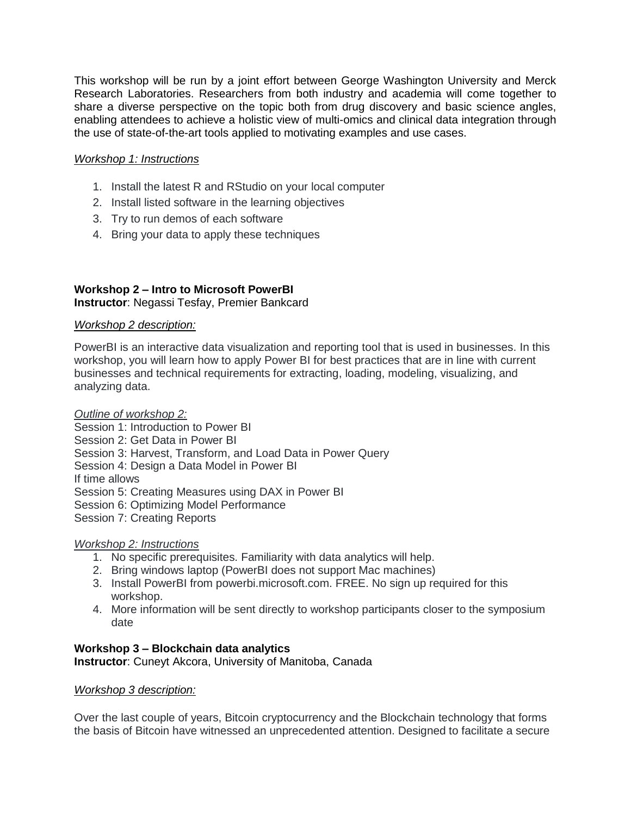This workshop will be run by a joint effort between George Washington University and Merck Research Laboratories. Researchers from both industry and academia will come together to share a diverse perspective on the topic both from drug discovery and basic science angles, enabling attendees to achieve a holistic view of multi-omics and clinical data integration through the use of state-of-the-art tools applied to motivating examples and use cases.

# *Workshop 1: Instructions*

- 1. Install the latest R and RStudio on your local computer
- 2. Install listed software in the learning objectives
- 3. Try to run demos of each software
- 4. Bring your data to apply these techniques

## **Workshop 2 – Intro to Microsoft PowerBI Instructor**: Negassi Tesfay, Premier Bankcard

## *Workshop 2 description:*

PowerBI is an interactive data visualization and reporting tool that is used in businesses. In this workshop, you will learn how to apply Power BI for best practices that are in line with current businesses and technical requirements for extracting, loading, modeling, visualizing, and analyzing data.

## *Outline of workshop 2:*

Session 1: Introduction to Power BI Session 2: Get Data in Power BI Session 3: Harvest, Transform, and Load Data in Power Query Session 4: Design a Data Model in Power BI If time allows Session 5: Creating Measures using DAX in Power BI Session 6: Optimizing Model Performance Session 7: Creating Reports

# *Workshop 2: Instructions*

- 1. No specific prerequisites. Familiarity with data analytics will help.
- 2. Bring windows laptop (PowerBI does not support Mac machines)
- 3. Install PowerBI from powerbi.microsoft.com. FREE. No sign up required for this workshop.
- 4. More information will be sent directly to workshop participants closer to the symposium date

## **Workshop 3 – Blockchain data analytics Instructor**: Cuneyt Akcora, University of Manitoba, Canada

## *Workshop 3 description:*

Over the last couple of years, Bitcoin cryptocurrency and the Blockchain technology that forms the basis of Bitcoin have witnessed an unprecedented attention. Designed to facilitate a secure